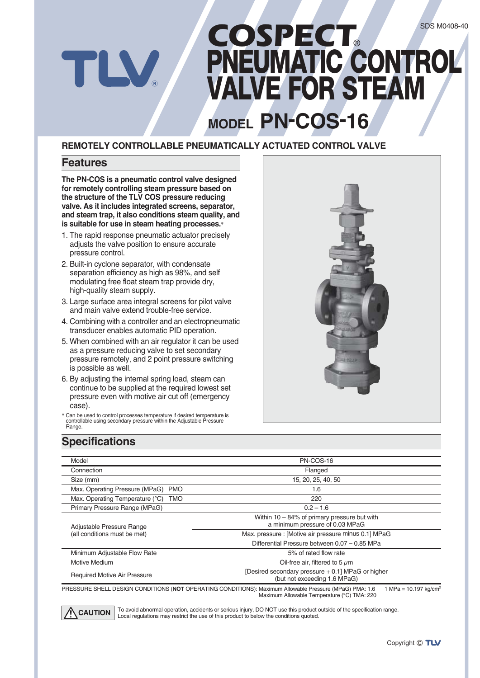# *COSPECT*® **PNEUMATIC CONTROL VALVE FOR STEAM**

# **MODEL PN-COS-16**

#### **REMOTELY CONTROLLABLE PNEUMATICALLY ACTUATED CONTROL VALVE**

#### **Features**

W

**The PN-COS is a pneumatic control valve designed for remotely controlling steam pressure based on the structure of the TLV COS pressure reducing valve. As it includes integrated screens, separator, and steam trap, it also conditions steam quality, and is suitable for use in steam heating processes.\***

- 1. The rapid response pneumatic actuator precisely adjusts the valve position to ensure accurate pressure control.
- 2. Built-in cyclone separator, with condensate separation efficiency as high as 98%, and self modulating free float steam trap provide dry, high-quality steam supply.
- 3. Large surface area integral screens for pilot valve and main valve extend trouble-free service.
- 4. Combining with a controller and an electropneumatic transducer enables automatic PID operation.
- 5. When combined with an air regulator it can be used as a pressure reducing valve to set secondary pressure remotely, and 2 point pressure switching is possible as well.
- 6. By adjusting the internal spring load, steam can continue to be supplied at the required lowest set pressure even with motive air cut off (emergency case).
- **\*** Can be used to control processes temperature if desired temperature is controllable using secondary pressure within the Adjustable Pressure Range.



#### **Specifications**

| Model                                        | PN-COS-16                                                                          |  |  |  |  |
|----------------------------------------------|------------------------------------------------------------------------------------|--|--|--|--|
| Connection                                   | Flanged                                                                            |  |  |  |  |
| Size (mm)                                    | 15, 20, 25, 40, 50                                                                 |  |  |  |  |
| Max. Operating Pressure (MPaG)<br><b>PMO</b> | 1.6                                                                                |  |  |  |  |
| Max. Operating Temperature (°C)<br>TMO       | 220                                                                                |  |  |  |  |
| Primary Pressure Range (MPaG)                | $0.2 - 1.6$                                                                        |  |  |  |  |
| Adjustable Pressure Range                    | Within $10 - 84\%$ of primary pressure but with<br>a minimum pressure of 0.03 MPaG |  |  |  |  |
| (all conditions must be met)                 | Max. pressure : [Motive air pressure minus 0.1] MPaG                               |  |  |  |  |
|                                              | Differential Pressure between 0.07 - 0.85 MPa                                      |  |  |  |  |
| Minimum Adjustable Flow Rate                 | 5% of rated flow rate                                                              |  |  |  |  |
| Motive Medium                                | Oil-free air, filtered to 5 $\mu$ m                                                |  |  |  |  |
| <b>Required Motive Air Pressure</b>          | [Desired secondary pressure + 0.1] MPaG or higher<br>(but not exceeding 1.6 MPaG)  |  |  |  |  |

PRESSURE SHELL DESIGN CONDITIONS (**NOT** OPERATING CONDITIONS): Maximum Allowable Pressure (MPaG) PMA: 1.6 1 MPa = 10.197 kg/cm2 Maximum Allowable Temperature (°C) TMA: 220



To avoid abnormal operation, accidents or serious injury, DO NOT use this product outside of the specification range. **CAUTION** To avoid abnormal operation, accidents or serious injury, DO NOT use this product of conditions quoted.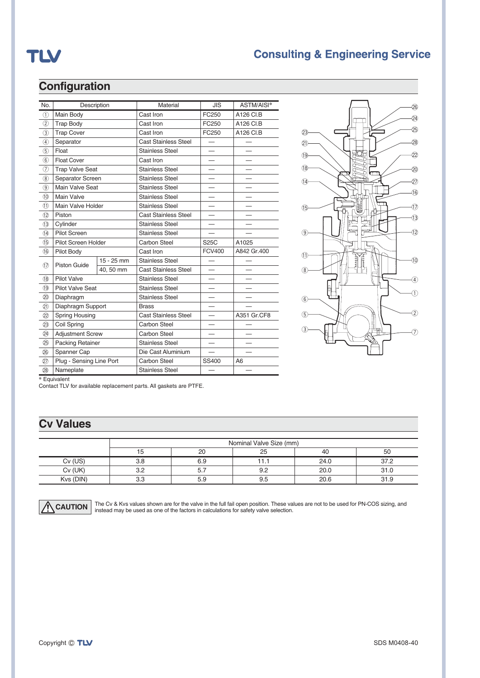# TLV

### **Consulting & Engineering Service**

#### **Configuration**

| No.                          | Description              |              | Material                    | <b>JIS</b>    | ASTM/AISI*  |
|------------------------------|--------------------------|--------------|-----------------------------|---------------|-------------|
| $\circled{1}$                | Main Body                |              | Cast Iron                   | FC250         | A126 CI.B   |
| $\circled{2}$                | <b>Trap Body</b>         |              | Cast Iron                   | FC250         | A126 CI.B   |
| $\circled{3}$                | <b>Trap Cover</b>        |              | Cast Iron                   | FC250         | A126 CI.B   |
| 4                            | Separator                |              | <b>Cast Stainless Steel</b> |               |             |
| $\circledS$                  | Float                    |              | <b>Stainless Steel</b>      |               |             |
| $\circled{6}$                | <b>Float Cover</b>       |              | Cast Iron                   |               |             |
| $\left( \overline{7}\right)$ | <b>Trap Valve Seat</b>   |              | <b>Stainless Steel</b>      |               |             |
| (8)                          | Separator Screen         |              | <b>Stainless Steel</b>      |               |             |
| $\circledcirc$               | Main Valve Seat          |              | <b>Stainless Steel</b>      |               |             |
| (10)                         | Main Valve               |              | <b>Stainless Steel</b>      |               |             |
| (1)                          | Main Valve Holder        |              | <b>Stainless Steel</b>      |               |             |
| (12)                         | Piston                   |              | <b>Cast Stainless Steel</b> |               |             |
| (13)                         | Cylinder                 |              | <b>Stainless Steel</b>      |               |             |
| $\overline{14}$              | Pilot Screen             |              | <b>Stainless Steel</b>      |               |             |
| 15                           | Pilot Screen Holder      |              | Carbon Steel                | S25C          | A1025       |
| (16)                         | Pilot Body               |              | Cast Iron                   | <b>FCV400</b> | A842 Gr.400 |
| (17)                         | Piston Guide             | $15 - 25$ mm | <b>Stainless Steel</b>      |               |             |
|                              |                          | 40, 50 mm    | <b>Cast Stainless Steel</b> |               |             |
| (18)                         | Pilot Valve              |              | <b>Stainless Steel</b>      |               |             |
| (19)                         | <b>Pilot Valve Seat</b>  |              | <b>Stainless Steel</b>      |               |             |
| (20)                         | Diaphragm                |              | <b>Stainless Steel</b>      |               |             |
| 21)                          | Diaphragm Support        |              | <b>Brass</b>                |               |             |
| (22)                         | <b>Spring Housing</b>    |              | <b>Cast Stainless Steel</b> |               | A351 Gr.CF8 |
| (23)                         | Coil Spring              |              | Carbon Steel                |               |             |
| (24)                         | <b>Adjustment Screw</b>  |              | Carbon Steel                |               |             |
| (25)                         | <b>Packing Retainer</b>  |              | <b>Stainless Steel</b>      |               |             |
| (26)                         | Spanner Cap              |              | Die Cast Aluminium          |               |             |
| (27)                         | Plug - Sensing Line Port |              | Carbon Steel                | SS400         | A6          |
| (28)                         | Nameplate                |              | <b>Stainless Steel</b>      |               |             |



**\*** Equivalent

Contact TLV for available replacement parts. All gaskets are PTFE.

### **Cv Values**

|           | Nominal Valve Size (mm) |     |     |      |      |  |  |
|-----------|-------------------------|-----|-----|------|------|--|--|
|           | 40                      | 50  |     |      |      |  |  |
| $Cv$ (US) | 3.8                     | 6.9 | 1.1 | 24.0 | 37.2 |  |  |
| $Cv$ (UK) | 3.2                     | 5.7 | 9.2 | 20.0 | 31.0 |  |  |
| Kvs (DIN) | 3.3                     | 5.9 | 9.5 | 20.6 | 31.9 |  |  |



 $CAUTION$  The Cv & Kvs values shown are for the valve in the full fail open position. These values are not to be used for PN-COS sizing, and  $\overline{C}$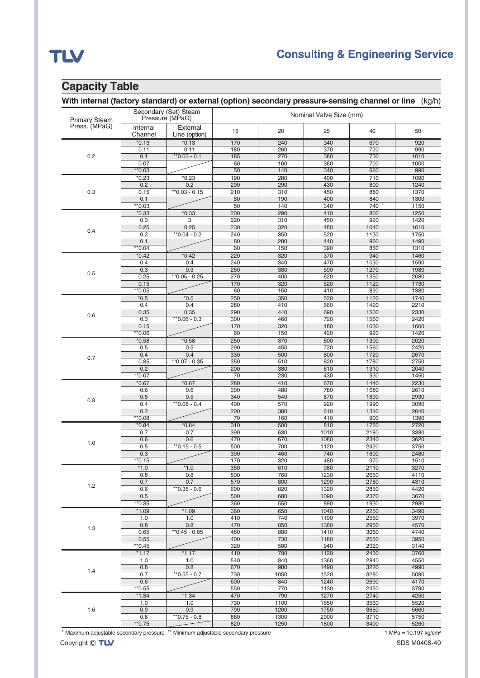# TLV

### **Consulting & Engineering Service**

#### **Capacity Table**

#### **With internal (factory standard) or external (option) secondary pressure-sensing channel or line** (kg/h)

| <b>Primary Steam</b> | Secondary (Set) Steam<br>Pressure (MPaG) |                           | Nominal Valve Size (mm) |             |              |              |              |  |
|----------------------|------------------------------------------|---------------------------|-------------------------|-------------|--------------|--------------|--------------|--|
| Press. (MPaG)        | Internal<br>Channel                      | External<br>Line (option) | 15                      | 20          | 25           | 40           | 50           |  |
|                      | $*0.13$                                  | $*0.13$                   | 170                     | 240         | 340          | 670          | 920          |  |
| 0.2                  | 0.11                                     | 0.11                      | 180                     | 260         | 370          | 720          | 990          |  |
|                      | 0.1                                      | $*$ 0.03 - 0.1            | 185                     | 270         | 380          | 730          | 1010         |  |
|                      | 0.07<br>$*$ 0.03                         |                           | 60<br>50                | 160<br>140  | 360<br>340   | 700<br>660   | 1000<br>990  |  |
|                      | $*0.23$                                  | $*0.23$                   | 190                     | 280         | 400          | 710          | 1090         |  |
|                      | 0.2                                      | 0.2                       | 200                     | 290         | 430          | 800          | 1240         |  |
| 0.3                  | 0.15                                     | $*$ $0.03 - 0.15$         | 210                     | 310         | 450          | 880          | 1370         |  |
|                      | 0.1                                      |                           | 80                      | 190         | 400          | 840          | 1300         |  |
|                      | $*$ 0.03                                 |                           | 50                      | 140         | 340          | 740          | 1150         |  |
|                      | $*0.33$                                  | $*0.33$                   | 200                     | 290         | 410          | 800          | 1250         |  |
|                      | 0.3                                      | 3                         | 220                     | 310         | 450          | 920          | 1420         |  |
| 0.4                  | 0.25                                     | 0.25                      | 230                     | 320         | 480          | 1040         | 1610         |  |
|                      | 0.2                                      | $*0.04 - 0.2$             | 240                     | 350         | 520          | 1130         | 1750         |  |
|                      | 0.1<br>**0.04                            |                           | 80<br>60                | 280<br>150  | 440<br>390   | 960<br>850   | 1490<br>1310 |  |
|                      | $*0.42$                                  | $*0.42$                   | 220                     | 320         | 370          | 940          | 1460         |  |
|                      | 0.4                                      | 0.4                       | 240                     | 340         | 470          | 1030         | 1590         |  |
|                      | 0.3                                      | 0.3                       | 260                     | 380         | 590          | 1270         | 1980         |  |
| 0.5                  | 0.25                                     | ** 0.05 - 0.25            | 270                     | 400         | 620          | 1350         | 2080         |  |
|                      | 0.15                                     |                           | 170                     | 320         | 520          | 1120         | 1730         |  |
|                      | $*$ 0.05                                 |                           | 60                      | 150         | 410          | 890          | 1380         |  |
|                      | $*0.5$                                   | $*0.5$                    | 250                     | 350         | 520          | 1120         | 1740         |  |
|                      | 0.4                                      | 0.4                       | 280                     | 410         | 660          | 1420         | 2210         |  |
| 0.6                  | 0.35                                     | 0.35                      | 290                     | 440         | 690          | 1500         | 2330         |  |
|                      | 0.3                                      | $*0.06 - 0.3$             | 300                     | 460         | 720          | 1560         | 2420         |  |
|                      | 0.15                                     |                           | 170                     | 320         | 480          | 1030<br>920  | 1600<br>1420 |  |
|                      | **0.06<br>$*0.58$                        | $*0.58$                   | 60<br>250               | 150<br>370  | 420<br>600   | 1300         | 2020         |  |
|                      | 0.5                                      | 0.5                       | 290                     | 450         | 720          | 1560         | 2420         |  |
|                      | 0.4                                      | 0.4                       | 330                     | 500         | 800          | 1720         | 2670         |  |
| 0.7                  | 0.35                                     | **0.07 - 0.35             | 350                     | 510         | 820          | 1780         | 2750         |  |
|                      | 0.2                                      |                           | 200                     | 380         | 610          | 1310         | 2040         |  |
|                      | $*$ 0.07                                 |                           | 70                      | 230         | 430          | 930          | 1450         |  |
|                      | $*0.67$                                  | $*0.67$                   | 280                     | 410         | 670          | 1440         | 2230         |  |
|                      | 0.6                                      | 0.6                       | 300                     | 480         | 780          | 1680         | 2610         |  |
| 0.8                  | 0.5                                      | 0.5                       | 340                     | 540         | 870          | 1890         | 2930         |  |
|                      | 0.4                                      | $*0.08 - 0.4$             | 400                     | 570         | 920          | 1990         | 3090         |  |
|                      | 0.2<br>**0.08                            |                           | 200<br>70               | 380<br>160  | 610<br>410   | 1310<br>900  | 2040<br>1390 |  |
|                      | $*0.84$                                  | $*0.84$                   | 310                     | 500         | 810          | 1750         | 2720         |  |
|                      | 0.7                                      | 0.7                       | 390                     | 630         | 1010         | 2180         | 3380         |  |
|                      | 0.6                                      | 0.6                       | 470                     | 670         | 1080         | 2340         | 3620         |  |
| 1.0                  | 0.5                                      | $*$ 0.15 - 0.5            | 500                     | 700         | 1120         | 2420         | 3750         |  |
|                      | 0.3                                      |                           | 300                     | 460         | 740          | 1600         | 2480         |  |
|                      | $*$ 0.15                                 |                           | 170                     | 320         | 480          | 970          | 1510         |  |
|                      | $*1.0$                                   | $*1.0$                    | 350                     | 610         | 980          | 2110         | 3270         |  |
|                      | 0.8                                      | 0.8                       | 500                     | 760         | 1230         | 2650         | 4110         |  |
| 1.2                  | 0.7                                      | 0.7<br>$*$ 0.35 - 0.6     | 570                     | 800         | 1290         | 2780         | 4310         |  |
|                      | 0.6<br>0.5                               |                           | 600                     | 820<br>680  | 1320<br>1090 | 2850<br>2370 | 4420<br>3670 |  |
|                      | $*$ 0.35                                 |                           | 500<br>360              | 550         | 890          | 1930         | 2980         |  |
|                      | $*1.09$                                  | $*1.09$                   | 360                     | 650         | 1040         | 2250         | 3490         |  |
|                      | 1.0                                      | 1.0                       | 410                     | 740         | 1190         | 2560         | 3970         |  |
|                      | 0.8                                      | 0.8                       | 470                     | 850         | 1360         | 2950         | 4570         |  |
| 1.3                  | 0.65                                     | $*0.45 - 0.65$            | 480                     | 880         | 1410         | 3060         | 4740         |  |
|                      | 0.55                                     |                           | 400                     | 730         | 1180         | 2550         | 3950         |  |
|                      | $*$ 0.45                                 |                           | 320                     | 580         | 940          | 2020         | 3140         |  |
|                      | $*1.17$                                  | $*1.17$                   | 410                     | 700         | 1120         | 2430         | 3760         |  |
|                      | 1.0                                      | 1.0                       | 540                     | 840         | 1360         | 2940         | 4550         |  |
| 1.4                  | 0.8                                      | 0.8                       | 670                     | 980         | 1490         | 3220         | 4990         |  |
|                      | 0.7<br>0.6                               | $*$ 0.55 - 0.7            | 730<br>600              | 1050<br>840 | 1520<br>1240 | 3280<br>2690 | 5090<br>4170 |  |
|                      | $*$ 0.55                                 |                           | 550                     | 770         | 1130         | 2450         | 3790         |  |
|                      | $*1.34$                                  | $*1.34$                   | 470                     | 790         | 1270         | 2740         | 4250         |  |
|                      | 1.0                                      | 1.0                       | 730                     | 1100        | 1650         | 3560         | 5520         |  |
| 1.6                  | 0.9                                      | 0.9                       | 790                     | 1200        | 1750         | 3650         | 5660         |  |
|                      | 0.8                                      | $*0.75 - 0.8$             | 880                     | 1300        | 2000         | 3710         | 5750         |  |
|                      | $*$ 0.75                                 |                           | 820                     | 1250        | 1800         | 3400         | 5260         |  |

\* Maximum adjustable secondary pressure \*\* Minimum adjustable secondary pressure 1 MPa = 10.197 kg/cm<sup>2</sup>